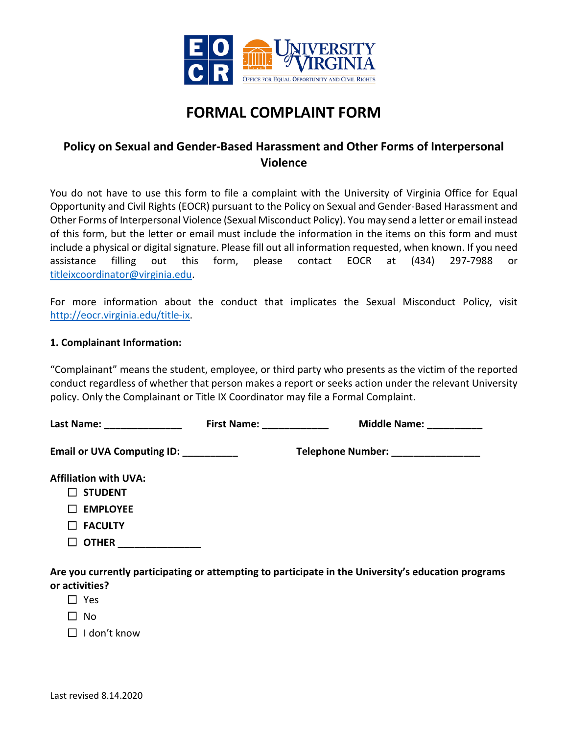

# **FORMAL COMPLAINT FORM**

## **Policy on Sexual and Gender-Based Harassment and Other Forms of Interpersonal Violence**

You do not have to use this form to file a complaint with the University of Virginia Office for Equal Opportunity and Civil Rights (EOCR) pursuant to the Policy on Sexual and Gender-Based Harassment and Other Forms of Interpersonal Violence (Sexual Misconduct Policy). You may send a letter or email instead of this form, but the letter or email must include the information in the items on this form and must include a physical or digital signature. Please fill out all information requested, when known. If you need assistance filling out this form, please contact EOCR at (434) 297-7988 or [titleixcoordinator@virginia.edu.](mailto:titleixcoordinator@virginia.edu)

For more information about the conduct that implicates the Sexual Misconduct Policy, visit [http://eocr.virginia.edu/title-ix.](http://eocr.virginia.edu/title-ix)

#### **1. Complainant Information:**

"Complainant" means the student, employee, or third party who presents as the victim of the reported conduct regardless of whether that person makes a report or seeks action under the relevant University policy. Only the Complainant or Title IX Coordinator may file a Formal Complaint.

| Last Name: 1988 March 1988           | First Name: ___________ | Middle Name: ________              |  |
|--------------------------------------|-------------------------|------------------------------------|--|
| Email or UVA Computing ID: _________ |                         | Telephone Number: ________________ |  |
| <b>Affiliation with UVA:</b>         |                         |                                    |  |
| <b>STUDENT</b>                       |                         |                                    |  |
| <b>EMPLOYEE</b>                      |                         |                                    |  |
| <b>FACULTY</b>                       |                         |                                    |  |
| <b>OTHER</b>                         |                         |                                    |  |

**Are you currently participating or attempting to participate in the University's education programs or activities?**

- ☐ Yes
- $\Box$  No

 $\Box$  I don't know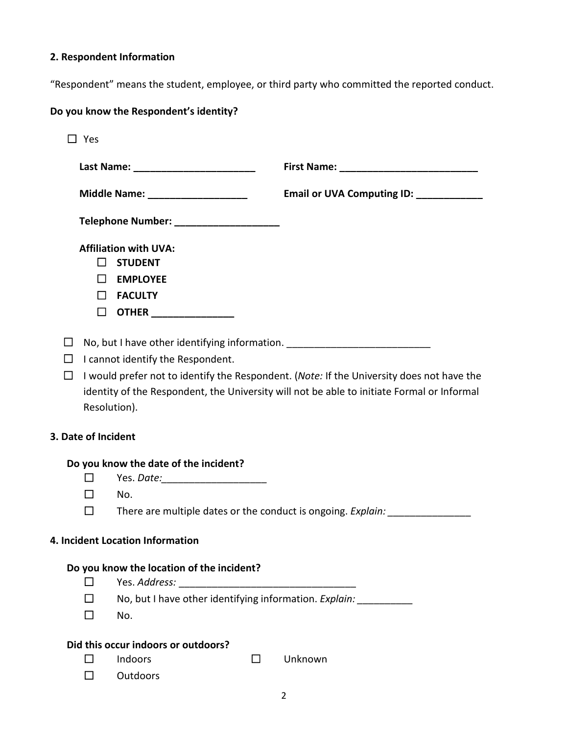## **2. Respondent Information**

"Respondent" means the student, employee, or third party who committed the reported conduct.

## **Do you know the Respondent's identity?**

|                                  | $\square$ Yes                                |                                                                                                                       |                                                                                                                                                                                         |  |  |
|----------------------------------|----------------------------------------------|-----------------------------------------------------------------------------------------------------------------------|-----------------------------------------------------------------------------------------------------------------------------------------------------------------------------------------|--|--|
|                                  |                                              |                                                                                                                       |                                                                                                                                                                                         |  |  |
|                                  |                                              | Middle Name: ______________________                                                                                   | Email or UVA Computing ID: ____________                                                                                                                                                 |  |  |
|                                  |                                              | Telephone Number: _____________________                                                                               |                                                                                                                                                                                         |  |  |
|                                  | $\mathsf{L}$<br>$\mathsf{L}$<br>ΙI<br>$\Box$ | <b>Affiliation with UVA:</b><br><b>STUDENT</b><br><b>EMPLOYEE</b><br><b>FACULTY</b><br><b>OTHER</b> ________________  |                                                                                                                                                                                         |  |  |
| $\mathbf{I}$<br>ΙI<br>П          | Resolution).                                 | No, but I have other identifying information. __________________________________<br>I cannot identify the Respondent. | I would prefer not to identify the Respondent. (Note: If the University does not have the<br>identity of the Respondent, the University will not be able to initiate Formal or Informal |  |  |
| 3. Date of Incident              |                                              |                                                                                                                       |                                                                                                                                                                                         |  |  |
|                                  | Do you know the date of the incident?        |                                                                                                                       |                                                                                                                                                                                         |  |  |
|                                  | ப<br>$\perp$                                 | Yes. Date:_________________________                                                                                   |                                                                                                                                                                                         |  |  |
|                                  | $\Box$                                       | No.<br>There are multiple dates or the conduct is ongoing. Explain:                                                   |                                                                                                                                                                                         |  |  |
| 4. Incident Location Information |                                              |                                                                                                                       |                                                                                                                                                                                         |  |  |
|                                  |                                              | Do you know the location of the incident?                                                                             |                                                                                                                                                                                         |  |  |
|                                  | $\mathsf{L}$                                 | Yes. Address:<br><u> 1980 - Jan James James Barnett, fransk politik (d. 1980)</u>                                     |                                                                                                                                                                                         |  |  |
|                                  |                                              | No, but I have other identifying information. Explain: _____________                                                  |                                                                                                                                                                                         |  |  |
|                                  | $\mathsf{L}$                                 | No.                                                                                                                   |                                                                                                                                                                                         |  |  |
|                                  | Did this occur indoors or outdoors?          |                                                                                                                       |                                                                                                                                                                                         |  |  |
|                                  |                                              | Indoors<br>$\blacksquare$                                                                                             | Unknown                                                                                                                                                                                 |  |  |

☐ Outdoors